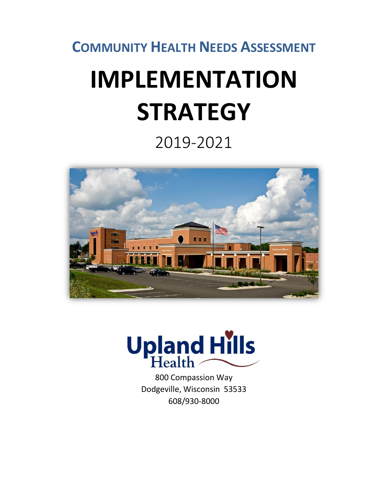**COMMUNITY HEALTH NEEDS ASSESSMENT**

# **IMPLEMENTATION STRATEGY**

2019-2021





800 Compassion Way Dodgeville, Wisconsin 53533 608/930-8000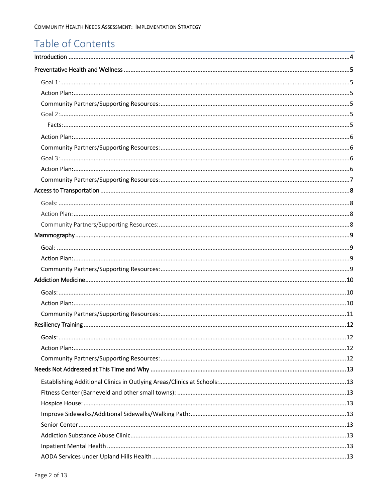# Table of Contents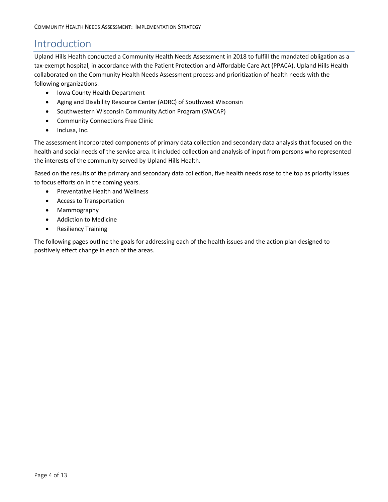# <span id="page-3-0"></span>Introduction

Upland Hills Health conducted a Community Health Needs Assessment in 2018 to fulfill the mandated obligation as a tax-exempt hospital, in accordance with the Patient Protection and Affordable Care Act (PPACA). Upland Hills Health collaborated on the Community Health Needs Assessment process and prioritization of health needs with the following organizations:

- Iowa County Health Department
- Aging and Disability Resource Center (ADRC) of Southwest Wisconsin
- Southwestern Wisconsin Community Action Program (SWCAP)
- Community Connections Free Clinic
- Inclusa, Inc.

The assessment incorporated components of primary data collection and secondary data analysis that focused on the health and social needs of the service area. It included collection and analysis of input from persons who represented the interests of the community served by Upland Hills Health.

Based on the results of the primary and secondary data collection, five health needs rose to the top as priority issues to focus efforts on in the coming years.

- Preventative Health and Wellness
- Access to Transportation
- Mammography
- Addiction to Medicine
- Resiliency Training

The following pages outline the goals for addressing each of the health issues and the action plan designed to positively effect change in each of the areas.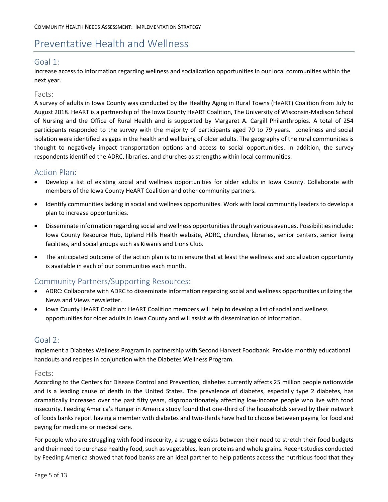# <span id="page-4-0"></span>Preventative Health and Wellness

# <span id="page-4-1"></span>Goal 1:

Increase access to information regarding wellness and socialization opportunities in our local communities within the next year.

#### Facts:

A survey of adults in Iowa County was conducted by the Healthy Aging in Rural Towns (HeART) Coalition from July to August 2018. HeART is a partnership of The Iowa County HeART Coalition, The University of Wisconsin-Madison School of Nursing and the Office of Rural Health and is supported by Margaret A. Cargill Philanthropies. A total of 254 participants responded to the survey with the majority of participants aged 70 to 79 years. Loneliness and social isolation were identified as gaps in the health and wellbeing of older adults. The geography of the rural communities is thought to negatively impact transportation options and access to social opportunities. In addition, the survey respondents identified the ADRC, libraries, and churches as strengths within local communities.

## <span id="page-4-2"></span>Action Plan:

- Develop a list of existing social and wellness opportunities for older adults in Iowa County. Collaborate with members of the Iowa County HeART Coalition and other community partners.
- Identify communities lacking in social and wellness opportunities. Work with local community leaders to develop a plan to increase opportunities.
- Disseminate information regarding social and wellness opportunities through various avenues. Possibilities include: Iowa County Resource Hub, Upland Hills Health website, ADRC, churches, libraries, senior centers, senior living facilities, and social groups such as Kiwanis and Lions Club.
- The anticipated outcome of the action plan is to in ensure that at least the wellness and socialization opportunity is available in each of our communities each month.

# <span id="page-4-3"></span>Community Partners/Supporting Resources:

- ADRC: Collaborate with ADRC to disseminate information regarding social and wellness opportunities utilizing the News and Views newsletter.
- Iowa County HeART Coalition: HeART Coalition members will help to develop a list of social and wellness opportunities for older adults in Iowa County and will assist with dissemination of information.

## <span id="page-4-4"></span>Goal 2:

Implement a Diabetes Wellness Program in partnership with Second Harvest Foodbank. Provide monthly educational handouts and recipes in conjunction with the Diabetes Wellness Program.

#### <span id="page-4-5"></span>Facts:

According to the Centers for Disease Control and Prevention, diabetes currently affects 25 million people nationwide and is a leading cause of death in the United States. The prevalence of diabetes, especially type 2 diabetes, has dramatically increased over the past fifty years, disproportionately affecting low-income people who live with food insecurity. Feeding America's Hunger in America study found that one-third of the households served by their network of foods banks report having a member with diabetes and two-thirds have had to choose between paying for food and paying for medicine or medical care.

For people who are struggling with food insecurity, a struggle exists between their need to stretch their food budgets and their need to purchase healthy food, such as vegetables, lean proteins and whole grains. Recent studies conducted by Feeding America showed that food banks are an ideal partner to help patients access the nutritious food that they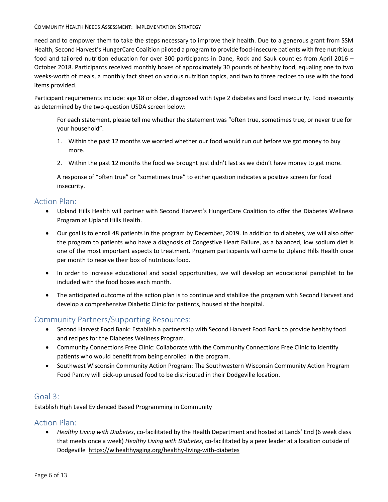#### COMMUNITY HEALTH NEEDS ASSESSMENT: IMPLEMENTATION STRATEGY

need and to empower them to take the steps necessary to improve their health. Due to a generous grant from SSM Health, Second Harvest's HungerCare Coalition piloted a program to provide food-insecure patients with free nutritious food and tailored nutrition education for over 300 participants in Dane, Rock and Sauk counties from April 2016 – October 2018. Participants received monthly boxes of approximately 30 pounds of healthy food, equaling one to two weeks-worth of meals, a monthly fact sheet on various nutrition topics, and two to three recipes to use with the food items provided.

Participant requirements include: age 18 or older, diagnosed with type 2 diabetes and food insecurity. Food insecurity as determined by the two-question USDA screen below:

For each statement, please tell me whether the statement was "often true, sometimes true, or never true for your household".

- 1. Within the past 12 months we worried whether our food would run out before we got money to buy more.
- 2. Within the past 12 months the food we brought just didn't last as we didn't have money to get more.

A response of "often true" or "sometimes true" to either question indicates a positive screen for food insecurity.

## <span id="page-5-0"></span>Action Plan:

- Upland Hills Health will partner with Second Harvest's HungerCare Coalition to offer the Diabetes Wellness Program at Upland Hills Health.
- Our goal is to enroll 48 patients in the program by December, 2019. In addition to diabetes, we will also offer the program to patients who have a diagnosis of Congestive Heart Failure, as a balanced, low sodium diet is one of the most important aspects to treatment. Program participants will come to Upland Hills Health once per month to receive their box of nutritious food.
- In order to increase educational and social opportunities, we will develop an educational pamphlet to be included with the food boxes each month.
- The anticipated outcome of the action plan is to continue and stabilize the program with Second Harvest and develop a comprehensive Diabetic Clinic for patients, housed at the hospital.

# <span id="page-5-1"></span>Community Partners/Supporting Resources:

- Second Harvest Food Bank: Establish a partnership with Second Harvest Food Bank to provide healthy food and recipes for the Diabetes Wellness Program.
- Community Connections Free Clinic: Collaborate with the Community Connections Free Clinic to identify patients who would benefit from being enrolled in the program.
- Southwest Wisconsin Community Action Program: The Southwestern Wisconsin Community Action Program Food Pantry will pick-up unused food to be distributed in their Dodgeville location.

## <span id="page-5-2"></span>Goal 3:

Establish High Level Evidenced Based Programming in Community

# <span id="page-5-3"></span>Action Plan:

 *Healthy Living with Diabetes*, co-facilitated by the Health Department and hosted at Lands' End (6 week class that meets once a week) *Healthy Living with Diabetes*, co-facilitated by a peer leader at a location outside of Dodgeville <https://wihealthyaging.org/healthy-living-with-diabetes>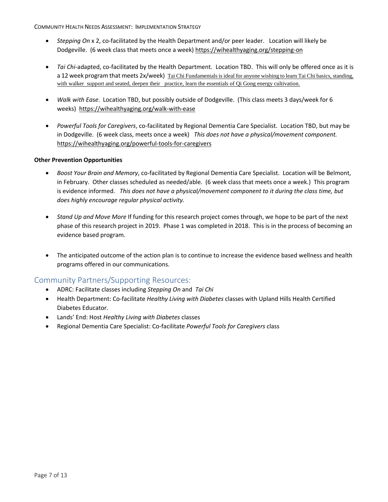COMMUNITY HEALTH NEEDS ASSESSMENT: IMPLEMENTATION STRATEGY

- *Stepping On* x 2, co-facilitated by the Health Department and/or peer leader. Location will likely be Dodgeville. (6 week class that meets once a week) <https://wihealthyaging.org/stepping-on>
- *Tai Chi*-adapted, co-facilitated by the Health Department. Location TBD. This will only be offered once as it is a 12 week program that meets 2x/week) Tai Chi Fundamentals is ideal for anyone wishing to learn Tai Chi basics, standing, with walker support and seated, deepen their practice, learn the essentials of Qi Gong energy cultivation.
- *Walk with Ease*. Location TBD, but possibly outside of Dodgeville. (This class meets 3 days/week for 6 weeks) <https://wihealthyaging.org/walk-with-ease>
- *Powerful Tools for Caregivers*, co-facilitated by Regional Dementia Care Specialist. Location TBD, but may be in Dodgeville. (6 week class, meets once a week) *This does not have a physical/movement component.* <https://wihealthyaging.org/powerful-tools-for-caregivers>

#### **Other Prevention Opportunities**

- *Boost Your Brain and Memory*, co-facilitated by Regional Dementia Care Specialist. Location will be Belmont, in February. Other classes scheduled as needed/able. (6 week class that meets once a week.) This program is evidence informed. *This does not have a physical/movement component to it during the class time, but does highly encourage regular physical activity.*
- *Stand Up and Move More* If funding for this research project comes through, we hope to be part of the next phase of this research project in 2019. Phase 1 was completed in 2018. This is in the process of becoming an evidence based program.
- The anticipated outcome of the action plan is to continue to increase the evidence based wellness and health programs offered in our communications.

- <span id="page-6-0"></span>ADRC: Facilitate classes including *Stepping On* and *Tai Chi*
- Health Department: Co-facilitate *Healthy Living with Diabetes* classes with Upland Hills Health Certified Diabetes Educator.
- Lands' End: Host *Healthy Living with Diabetes* classes
- Regional Dementia Care Specialist: Co-facilitate *Powerful Tools for Caregivers* class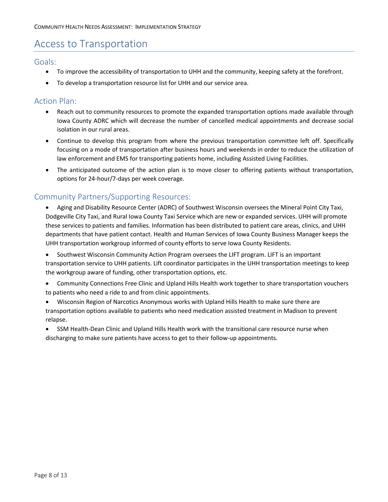# <span id="page-7-0"></span>Access to Transportation

## <span id="page-7-1"></span>Goals:

- To improve the accessibility of transportation to UHH and the community, keeping safety at the forefront.
- To develop a transportation resource list for UHH and our service area.

# <span id="page-7-2"></span>Action Plan:

- Reach out to community resources to promote the expanded transportation options made available through Iowa County ADRC which will decrease the number of cancelled medical appointments and decrease social isolation in our rural areas.
- Continue to develop this program from where the previous transportation committee left off. Specifically focusing on a mode of transportation after business hours and weekends in order to reduce the utilization of law enforcement and EMS for transporting patients home, including Assisted Living Facilities.
- The anticipated outcome of the action plan is to move closer to offering patients without transportation, options for 24-hour/7-days per week coverage.

- <span id="page-7-3"></span> Aging and Disability Resource Center (ADRC) of Southwest Wisconsin oversees the Mineral Point City Taxi, Dodgeville City Taxi, and Rural Iowa County Taxi Service which are new or expanded services. UHH will promote these services to patients and families. Information has been distributed to patient care areas, clinics, and UHH departments that have patient contact. Health and Human Services of Iowa County Business Manager keeps the UHH transportation workgroup informed of county efforts to serve Iowa County Residents.
- Southwest Wisconsin Community Action Program oversees the LIFT program. LIFT is an important transportation service to UHH patients. Lift coordinator participates in the UHH transportation meetings to keep the workgroup aware of funding, other transportation options, etc.
- Community Connections Free Clinic and Upland Hills Health work together to share transportation vouchers to patients who need a ride to and from clinic appointments.
- Wisconsin Region of Narcotics Anonymous works with Upland Hills Health to make sure there are transportation options available to patients who need medication assisted treatment in Madison to prevent relapse.
- SSM Health-Dean Clinic and Upland Hills Health work with the transitional care resource nurse when discharging to make sure patients have access to get to their follow-up appointments.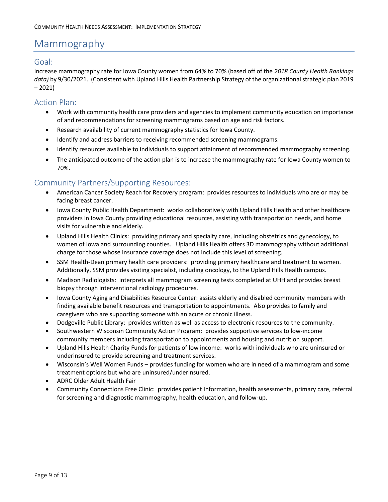# <span id="page-8-0"></span>Mammography

# <span id="page-8-1"></span>Goal:

Increase mammography rate for Iowa County women from 64% to 70% (based off of the *2018 County Health Rankings data)* by 9/30/2021. (Consistent with Upland Hills Health Partnership Strategy of the organizational strategic plan 2019  $-2021$ 

## <span id="page-8-2"></span>Action Plan:

- Work with community health care providers and agencies to implement community education on importance of and recommendations for screening mammograms based on age and risk factors.
- Research availability of current mammography statistics for Iowa County.
- Identify and address barriers to receiving recommended screening mammograms.
- Identify resources available to individuals to support attainment of recommended mammography screening.
- The anticipated outcome of the action plan is to increase the mammography rate for Iowa County women to 70%.

- <span id="page-8-3"></span> American Cancer Society Reach for Recovery program: provides resources to individuals who are or may be facing breast cancer.
- Iowa County Public Health Department: works collaboratively with Upland Hills Health and other healthcare providers in Iowa County providing educational resources, assisting with transportation needs, and home visits for vulnerable and elderly.
- Upland Hills Health Clinics: providing primary and specialty care, including obstetrics and gynecology, to women of Iowa and surrounding counties. Upland Hills Health offers 3D mammography without additional charge for those whose insurance coverage does not include this level of screening.
- SSM Health-Dean primary health care providers: providing primary healthcare and treatment to women. Additionally, SSM provides visiting specialist, including oncology, to the Upland Hills Health campus.
- Madison Radiologists: interprets all mammogram screening tests completed at UHH and provides breast biopsy through interventional radiology procedures.
- Iowa County Aging and Disabilities Resource Center: assists elderly and disabled community members with finding available benefit resources and transportation to appointments. Also provides to family and caregivers who are supporting someone with an acute or chronic illness.
- Dodgeville Public Library: provides written as well as access to electronic resources to the community.
- Southwestern Wisconsin Community Action Program: provides supportive services to low-income community members including transportation to appointments and housing and nutrition support.
- Upland Hills Health Charity Funds for patients of low income: works with individuals who are uninsured or underinsured to provide screening and treatment services.
- Wisconsin's Well Women Funds provides funding for women who are in need of a mammogram and some treatment options but who are uninsured/underinsured.
- ADRC Older Adult Health Fair
- Community Connections Free Clinic: provides patient Information, health assessments, primary care, referral for screening and diagnostic mammography, health education, and follow-up.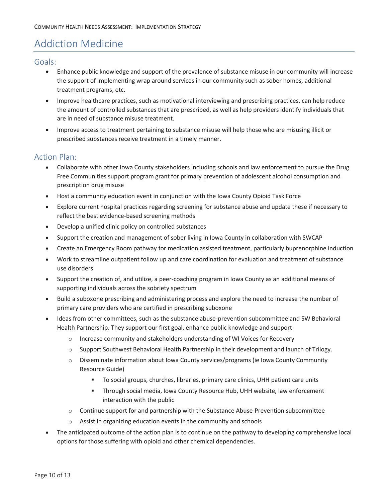# <span id="page-9-0"></span>Addiction Medicine

## <span id="page-9-1"></span>Goals:

- Enhance public knowledge and support of the prevalence of substance misuse in our community will increase the support of implementing wrap around services in our community such as sober homes, additional treatment programs, etc.
- Improve healthcare practices, such as motivational interviewing and prescribing practices, can help reduce the amount of controlled substances that are prescribed, as well as help providers identify individuals that are in need of substance misuse treatment.
- Improve access to treatment pertaining to substance misuse will help those who are misusing illicit or prescribed substances receive treatment in a timely manner.

# <span id="page-9-2"></span>Action Plan:

- Collaborate with other Iowa County stakeholders including schools and law enforcement to pursue the Drug Free Communities support program grant for primary prevention of adolescent alcohol consumption and prescription drug misuse
- Host a community education event in conjunction with the Iowa County Opioid Task Force
- Explore current hospital practices regarding screening for substance abuse and update these if necessary to reflect the best evidence-based screening methods
- Develop a unified clinic policy on controlled substances
- Support the creation and management of sober living in Iowa County in collaboration with SWCAP
- Create an Emergency Room pathway for medication assisted treatment, particularly buprenorphine induction
- Work to streamline outpatient follow up and care coordination for evaluation and treatment of substance use disorders
- Support the creation of, and utilize, a peer-coaching program in Iowa County as an additional means of supporting individuals across the sobriety spectrum
- Build a suboxone prescribing and administering process and explore the need to increase the number of primary care providers who are certified in prescribing suboxone
- Ideas from other committees, such as the substance abuse-prevention subcommittee and SW Behavioral Health Partnership. They support our first goal, enhance public knowledge and support
	- o Increase community and stakeholders understanding of WI Voices for Recovery
	- o Support Southwest Behavioral Health Partnership in their development and launch of Trilogy.
	- o Disseminate information about Iowa County services/programs (ie Iowa County Community Resource Guide)
		- To social groups, churches, libraries, primary care clinics, UHH patient care units
		- Through social media, Iowa County Resource Hub, UHH website, law enforcement interaction with the public
	- $\circ$  Continue support for and partnership with the Substance Abuse-Prevention subcommittee
	- o Assist in organizing education events in the community and schools
- The anticipated outcome of the action plan is to continue on the pathway to developing comprehensive local options for those suffering with opioid and other chemical dependencies.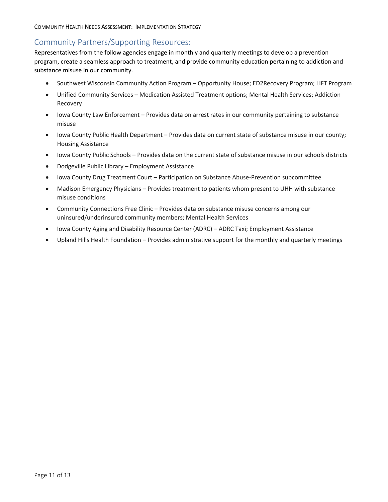## <span id="page-10-0"></span>Community Partners/Supporting Resources:

Representatives from the follow agencies engage in monthly and quarterly meetings to develop a prevention program, create a seamless approach to treatment, and provide community education pertaining to addiction and substance misuse in our community.

- Southwest Wisconsin Community Action Program Opportunity House; ED2Recovery Program; LIFT Program
- Unified Community Services Medication Assisted Treatment options; Mental Health Services; Addiction Recovery
- Iowa County Law Enforcement Provides data on arrest rates in our community pertaining to substance misuse
- Iowa County Public Health Department Provides data on current state of substance misuse in our county; Housing Assistance
- Iowa County Public Schools Provides data on the current state of substance misuse in our schools districts
- Dodgeville Public Library Employment Assistance
- Iowa County Drug Treatment Court Participation on Substance Abuse-Prevention subcommittee
- Madison Emergency Physicians Provides treatment to patients whom present to UHH with substance misuse conditions
- Community Connections Free Clinic Provides data on substance misuse concerns among our uninsured/underinsured community members; Mental Health Services
- Iowa County Aging and Disability Resource Center (ADRC) ADRC Taxi; Employment Assistance
- Upland Hills Health Foundation Provides administrative support for the monthly and quarterly meetings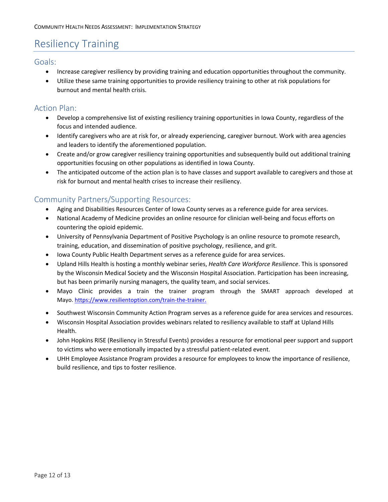# <span id="page-11-0"></span>Resiliency Training

## <span id="page-11-1"></span>Goals:

- Increase caregiver resiliency by providing training and education opportunities throughout the community.
- Utilize these same training opportunities to provide resiliency training to other at risk populations for burnout and mental health crisis.

## <span id="page-11-2"></span>Action Plan:

- Develop a comprehensive list of existing resiliency training opportunities in Iowa County, regardless of the focus and intended audience.
- Identify caregivers who are at risk for, or already experiencing, caregiver burnout. Work with area agencies and leaders to identify the aforementioned population.
- Create and/or grow caregiver resiliency training opportunities and subsequently build out additional training opportunities focusing on other populations as identified in Iowa County.
- The anticipated outcome of the action plan is to have classes and support available to caregivers and those at risk for burnout and mental health crises to increase their resiliency.

- <span id="page-11-3"></span>Aging and Disabilities Resources Center of Iowa County serves as a reference guide for area services.
- National Academy of Medicine provides an online resource for clinician well-being and focus efforts on countering the opioid epidemic.
- University of Pennsylvania Department of Positive Psychology is an online resource to promote research, training, education, and dissemination of positive psychology, resilience, and grit.
- Iowa County Public Health Department serves as a reference guide for area services.
- Upland Hills Health is hosting a monthly webinar series, *Health Care Workforce Resilience*. This is sponsored by the Wisconsin Medical Society and the Wisconsin Hospital Association. Participation has been increasing, but has been primarily nursing managers, the quality team, and social services.
- Mayo Clinic provides a train the trainer program through the SMART approach developed at Mayo. [https://www.resilientoption.com/train-the-trainer.](https://www.resilientoption.com/train-the-trainer)
- Southwest Wisconsin Community Action Program serves as a reference guide for area services and resources.
- Wisconsin Hospital Association provides webinars related to resiliency available to staff at Upland Hills Health.
- John Hopkins RISE (Resiliency in Stressful Events) provides a resource for emotional peer support and support to victims who were emotionally impacted by a stressful patient-related event.
- UHH Employee Assistance Program provides a resource for employees to know the importance of resilience, build resilience, and tips to foster resilience.